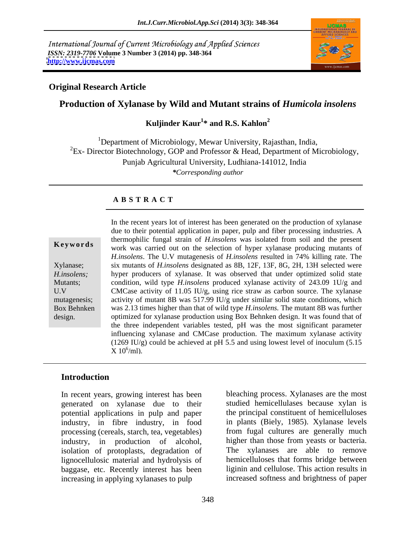International Journal of Current Microbiology and Applied Sciences *ISSN: 2319-7706* **Volume 3 Number 3 (2014) pp. 348-364 <http://www.ijcmas.com>**



## **Original Research Article**

## **Production of Xylanase by Wild and Mutant strains of** *Humicola insolens*

### Kuljinder Kaur<sup>1</sup>\* and R.S. Kahlon<sup>2</sup> **\* and R.S. Kahlon<sup>2</sup>**

<sup>1</sup>Department of Microbiology, Mewar University, Rajasthan, India, <sup>2</sup>Ex- Director Biotechnology, GOP and Professor & Head, Department of Microbiology, Punjab Agricultural University, Ludhiana-141012, India *\*Corresponding author*

## **A B S T R A C T**

**Keywords** work was carried out on the selection of hyper xylanase producing mutants of Xylanase; six mutants of *H.insolens* designated as 8B, 12F, 13F, 8G, 2H, 13H selected were *H.insolens;* hyper producers of xylanase. It was observed that under optimized solid state Mutants; condition, wild type *H.insolens* produced xylanase activity of 243.09 1U/g and U.V CMCase activity of 11.05 IU/g, using rice straw as carbon source. The xylanase mutagenesis; activity of mutant 8B was 517.99 IU/g under similar solid state conditions, which Box Behnken was 2.13 times higher than that of wild type *H.insolens.* The mutant 8B was further In the recent years lot of interest has been generated on the production of xylanase<br>due to their potential application in paper, pulp and fiber processing industries. A<br>thermophilic furgal strain of *H.insolens* was isol due to their potential application in paper, pulp and fiber processing industries. A thermophilic fungal strain of *H.insolens* was isolated from soil and the present *H.insolens*. The U.V mutagenesis of *H.insolens* resulted in 74% killing rate. The optimized for xylanase production using Box Behnken design. It was found that of the three independent variables tested, pH was the most significant parameter influencing xylanase and CMCase production. The maximum xylanase activity (1269 IU/g) could be achieved at pH 5.5 and using lowest level of inoculum (5.15  $X 10^6$ /ml).  $X 10^6$ /ml).

## **Introduction**

In recent years, growing interest has been generated on xylanase due to their potential applications in pulp and paper industry, in fibre industry, in food processing (cereals, starch, tea, vegetables) industry, in production of alcohol, higher than those from yeasts or bacteria. isolation of protoplasts, degradation of lignocellulosic material and hydrolysis of hemicelluloses that forms bridge between baggase, etc. Recently interest has been increasing in applying xylanases to pulp increased softness and brightness of paper

bleaching process. Xylanases are the most studied hemicellulases because xylan is the principal constituent of hemicelluloses in plants (Biely, 1985). Xylanase levels from fugal cultures are generally much The xylanases are able to remove liginin and cellulose. This action results in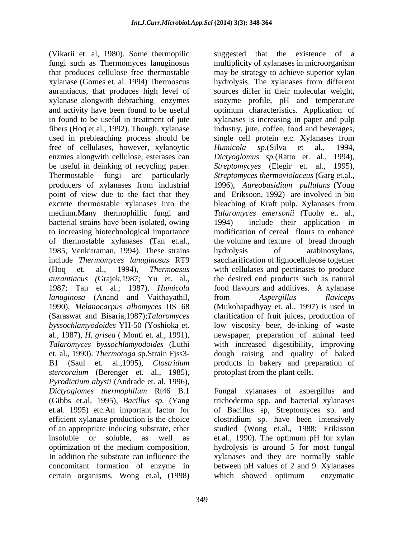(Vikarii et. al, 1980). Some thermopilic suggested that the existence of a fungi such as Thermomyces lanuginosus multiplicity of xylanases in microorganism that produces cellulose free thermostable may be strategy to achieve superior xylan xylanase (Gomes et. al. 1994) Thermoscus hydrolysis. The xylanases from different aurantiacus, that produces high level of sources differ in their molecular weight, xylanase alongwith debraching enzymes isozyme profile, pH and temperature and activity have been found to be useful optimum characteristics. Application of in found to be useful in treatment of jute xylanases is increasing in paper and pulp fibers (Hoq et al., 1992). Though, xylanase industry, jute, coffee, food and beverages, used in prebleaching process should be single cell protein etc. Xylanases from free of cellulases, however, xylanoytic Humicola sp. (Silva et al., 1994, enzmes alongwith cellulose, esterases can *Dictyoglomus sp.*(Ratto et. al., 1994), be useful in deinking of recycling paper. *Streptomycyes* (Elegir et. al., 1995), Thermostable fungi are particularly *Streptomyces thermoviolaceus* (Garg et.al., producers of xylanases from industrial 1996), Aureobasidium pullulans (Youg point of view due to the fact that they and Eriksoon, 1992) are involved in bio excrete thermostable xylanases into the bleaching of Kraft pulp. Xylanases from medium.Many thermophillic fungi and *Talaromyces emersonii* (Tuohy et. al., bacterial strains have been isolated, owing to increasing biotechnological importance of thermostable xylanases (Tan et.al., 1985, Venkitraman, 1994). These strains bydrolysis of arabinoxylans, include *Thermomyces lanuginosus* RT9 saccharification of lignocelluleose together (Hoq et. al., 1994), *Thermoasus*  with cellulases and pectinases to produce *aurantiacus (*Grajek,1987; Yu et. al., 1987; Tan et al.; 1987), *Humicola*  food flavours and additives. A xylanase *lanuginosa* (Anand and Vaithayathil, 1990), *Melanocarpus albomyces* IIS 68 (Mukohapadhyay et. al., 1997) is used in (Saraswat and Bisaria,1987);*Talaromyces*  clarification of fruit juices, production of *byssochlamyodoides* YH-50 (Yoshioka et. low viscosity beer, de-inking of waste al., 1987), *H. grisea* ( Monti et. al., 1991), newspaper, preparation of animal feed *Talaromyces byssochlamyodoides* (Luthi with increased digestibility, improving et. al., 1990). *Thermotoga* sp.Strain Fjss3- dough raising and quality of baked B1 (Saul et. al.,1995), *Clostridum*  products in bakery and preparation of *stercoraium* (Berenger et. al., 1985), *Pyrodictium abysii* (Andrade et. al, 1996), *Dictyoglomes thermophilum* Rt46 B.1 Fungal xylanases of aspergillus and (Gibbs et.al, 1995), *Bacillus sp.* (Yang trichoderma spp, and bacterial xylanases et.al. 1995) etc.An important factor for of Bacillus sp, Streptomyces sp. and efficient xylanase production is the choice clostridium sp. have been intensively of an appropriate inducing substrate, ether studied (Wong et.al., 1988; Erikisson insoluble or soluble, as well as et.al., 1990). The optimum pH for xylan optimization of the medium composition. hydrolysis is around 5 for most fungal In addition the substrate can influence the xylanases and they are normally stable concomitant formation of enzyme in between pH values of 2 and 9. Xylanases certain organisms. Wong et.al, (1998)

*Humicola sp*.(Silva et al., 1994, 1996), *Aureobasidium pullulans* (Youg bleaching of Kraft pulp. Xylanases from include their application in modification of cereal flours to enhance the volume and texture of bread through hydrolysis of arabinoxylans, the desired end products such as natural from *Aspergillus flaviceps* protoplast from the plant cells.

which showed optimum enzymatic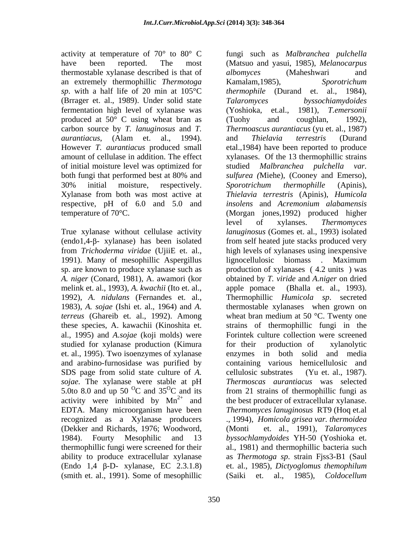thermostable xylanase described is that of albomyces (Maheshwari and an extremely thermophillic *Thermotoga sp*. with a half life of 20 min at 105°C (Brrager et. al., 1989). Under solid state Talaromyces byssochiamydoides fermentation high level of xylanase was produced at 50° C using wheat bran as (Tuohy and coughlan, 1992), However *T. aurantiacus* produced small of initial moisture level was optimized for studied Malbranchea pulchella var. respective, pH of 6.0 and 5.0 and

1991). Many of mesophillic Aspergillus melink et. al., 1993), *A. kwachii* (Ito et. al., al., 1995) and *A.sojae* (koji molds) were studied for xylanase production (Kimura for their production of xylanolytic et. al., 1995). Two isoenzymes of xylanase and arabino-furnosidase was purified by SDS page from solid state culture of *A*. cellulosic substrates (Yu et. al., 1987). 5.0to 8.0 and up 50  $^{\circ}$ C and 35 $^{\circ}$ C and its (Dekker and Richards, 1976; Woodword, (Endo 1,4  $\beta$ -D- xylanase, EC 2.3.1.8) (smith et. al., 1991). Some of mesophillic (Saiki et. al., 1985), *Coldocellum* 

activity at temperature of 70° to 80° C fungi such as *Malbranchea pulchella* have been reported. The most (Matsuo and yasui, 1985), *Melanocarpus*  carbon source by *T. lanuginosus* and *T. Thermoascus aurantiacus* (yu et. al., 1987) *aurantiacus*, (Alam et. al., 1994). amount of cellulase in addition. The effect xylanases. Of the 13 thermophillic strains both fungi that performed best at 80% and *sulfurea (*Miehe), (Cooney and Emerso), 30% initial moisture, respectively. Sporotrichum thermophille (Apinis), Xylanase from both was most active at *Thielavia terrestris* (Apinis), *Humicola*  temperature of 70°C. (Morgan jones,1992) produced higher True xylanase without cellulase activity *lanuginosus* (Gomes et. al., 1993) isolated  $($ endo1,4- $\beta$ - xylanase) has been isolated from self heated jute stacks produced very from *Trichoderma viridae* (UjiiE et. al., high levels of xylanases using inexpensive sp. are known to produce xylanase such as production of xylanases ( 4.2 units ) was *A. niger* (Conard, 1981), A. awamori (kor obtained by *T. viride* and *A.niger* on dried 1992), *A. nidulans* (Fernandes et. al., Thermophillic *Humicola sp*. secreted 1983), *A. sojae* (Ishi et. al., 1964) and *A.*  thermostable xylanases when grown on *terreus* (Ghareib et. al., 1992). Among wheat bran medium at 50 °C. Twenty one these species, A. kawachii (Kinoshita et. strains of thermophillic fungi in the *sojae.* The xylanase were stable at pH *Thermoscas aurantiacus* was selected C and  $35^{\circ}$ C and its from 21 strains of thermophillic fungi as activity were inhibited by  $Mn^{2+}$  and the best producer of extracellular xylanase. EDTA. Many microorganism have been *Thermomyces lanuginosus* RT9 (Hoq et.al recognized as a Xylanase producers ., 1994), *Homicola grisea var. thermoidea* 1984). Fourty Mesophilic and 13 *byssochlamydoides* YH-50 (Yoshioka et. thermophillic fungi were screened for their al., 1981) and thermophillic bacteria such ability to produce extracellular xylanase as *Thermotoga sp*. strain Fjss3-B1 (Saul *albomyces* (Maheshwari and Kamalam,1985), *Sporotrichum thermophile* (Durand et. al., 1984), *Talaromyces byssochiamydoides* (Yoshioka, et.al., 1981), *T.emersonii* (Tuohy and coughlan, 1992), and *Thielavia terrestris* (Durand etal.,1984) have been reported to produce studied *Malbranchea pulchella Sporotrichum thermophille* (Apinis), *insolens* and *Acremonium alabamensis* level of xylanses. *Thermomyces*  lignocellulosic biomass . Maximum (Bhalla et. al., 1993). Forintek culture collection were screened for their production of xylanolytic enzymes in both solid and media containing various hemicellulosic and cellulosic substrates (Yu et. al., 1987). (Monti et. al., 1991), *Talaromyces*  et. al., 1985), *Dictyoglomus themophilum* (Saiki et. al., 1985), *Coldocellum*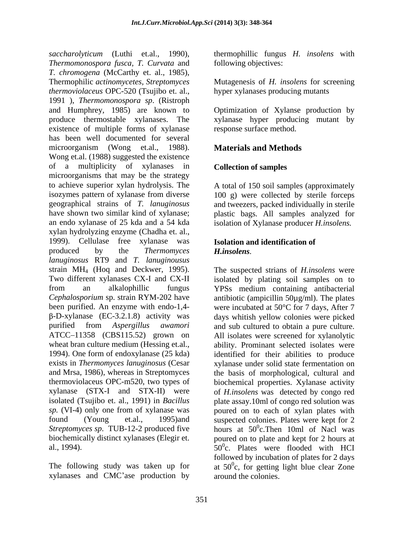*saccharolyticum* (Luthi et.al., 1990), thermophillic fungus *H. insolens* with *Thermomonospora fusca, T. Curvata* and *T. chromogena* (McCarthy et. al., 1985), Thermophilic *actinomycetes, Streptomyces* Mutagenesis of *H. insolens* for screening *thermoviolaceus* OPC-520 (Tsujibo et. al., 1991 ), *Thermomonospora sp*. (Ristroph and Humphrey, 1985) are known to Optimization of Xylanse production by produce thermostable xylanases. The xylanase hyper producing mutant by existence of multiple forms of xylanase has been well documented for several microorganism (Wong et.al., 1988). **Materials and Methods** Wong et.al. (1988) suggested the existence of a multiplicity of xylanases in microorganisms that may be the strategy to achieve superior xylan hydrolysis. The isozymes pattern of xylanase from diverse 100 g) were collected by sterile forceps geographical strains of *T. lanuginosus* and tweezers, packed individually in sterile have shown two similar kind of xylanase; plastic bags. All samples analyzed for an endo xylanase of 25 kda and a 54 kda isolation of Xylanase producer *H.insolens.* xylan hydrolyzing enzyme (Chadha et. al., 1999). Cellulase free xylanase was produced by the *Thermomyces lanuginosus* RT9 and *T. lanuginousus* strain MH4 (Hoq and Deckwer, 1995). The suspected strians of *H.insolens* were Two different xylanases CX-I and CX-II isolated by plating soil samples on to from an alkalophillic fungus YPSs medium containing antibacterial *Cephalosporium* sp. strain RYM-202 have antibiotic (ampicillin 50µg/ml). The plates been purified. An enzyme with endo-1,4- were incubated at 50°C for 7 days, After 7 purified from *Aspergillus awamori* ATCC-11358 (CBS115.52) grown on All isolates were screened for xylanolytic wheat bran culture medium (Hessing et.al., ability. Prominant selected isolates were 1994). One form of endoxylanase (25 kda) exists in *Thermomyces lanuginosus* (Cesar xylanase under solid state fermentation on and Mrsa, 1986), whereas in Streptomyces thermoviolaceus OPC-m520, two types of biochemical properties. Xylanase activity xylanase (STX-I and STX-II) were of *H.insolens* was detected by congo red isolated (Tsujibo et. al., 1991) in *Bacillus*  plate assay.10ml of congo red solution was *sp.* (VI-4) only one from of xylanase was poured on to each of xylan plates with found (Young et.al., 1995)and suspected colonies. Plates were kept for 2 *Streptomyces sp.* TUB-12-2 produced five hours at  $50^{\circ}$ c.Then 10ml of Nacl was biochemically distinct xylanases (Elegir et. poured on to plate and kept for 2 hours at

xylanases and CMC ase production by

following objectives:

hyper xylanases producing mutants

response surface method.

## **Materials and Methods**

## **Collection of samples**

A total of 150 soil samples (approximately

## **Isolation and identification of**  *H.insolens*.

-D-xylanase (EC-3.2.1.8) activity was days whitish yellow colonies were picked al., 1994).  $50^{\circ}$ c. Plates were flooded with HCI The following study was taken up for at  $50^\circ$ c, for getting light blue clear Zone and sub cultured to obtain <sup>a</sup> pure culture. All isolates were screened for xylanolytic identified for their abilities to produce the basis of morphological, cultural and followed by incubation of plates for 2 days around the colonies.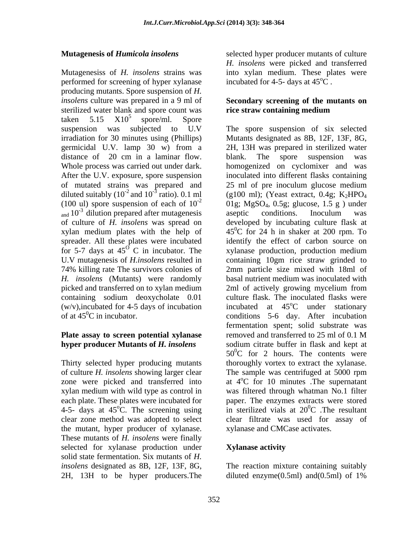Mutagenesiss of *H. insolens* strains was into xylan medium. These plates were performed for screening of hyper xylanase incubated for  $4-5$ -days at  $45^{\circ}$ C. producing mutants. Spore suspension of *H. insolens* culture was prepared in a 9 ml of **Secondary screening of the mutants on** sterilized water blank and spore count was taken  $5.15$   $X10^5$  spore/ml. Spore  $5$  spore/ml. Spore distance of 20 cm in a laminar flow. blank. The spore suspension was After the U.V. exposure, spore suspension of mutated strains was prepared and 25 ml of pre inoculum glucose medium diluted suitably  $(10^{-2}$  and  $10^{-3}$  ratio). 0.1 ml (100 ul) spore suspension of each of  $10^{-2}$  $_{\text{and}}$  10<sup>-3</sup> dilution prepared after mutagenesis aseptic conditions. Inoculum was of culture of *H. insolens* was spread on developed by incubating culture flask at for 5-7 days at  $45^{\circ}$  C in incubator. The

of culture *H. insolens* showing larger clear the mutant, hyper producer of xylanase. These mutants of *H. insolens* were finally selected for xylanase production under **Xylanase activity** solid state fermentation. Six mutants of *H. insolens* designated as 8B, 12F, 13F, 8G, 2H, 13H to be hyper producers.The

**Mutagenesis of** *Humicola insolens* selected hyper producer mutants of culture *H. insolens* were picked and transferred incubated for 4-5- days at  $45^{\circ}$ C.

# **rice straw containing medium**

suspension was subjected to U.V The spore suspension of six selected irradiation for 30 minutes using (Phillips) Mutants designated as 8B, 12F, 13F, 8G, germicidal U.V. lamp 30 w) from a 2H, 13H was prepared in sterilized water Whole process was carried out under dark. homogenized on cyclomixer and was ratio). 0.1 ml (g100 ml); (Yeast extract, 0.4g; K<sub>2</sub>HPO<sub>4</sub> of culture of *H. insolens* was spread on developed by incubating culture flask at xylan medium plates with the help of  $45^{\circ}$ C for 24 h in shaker at 200 rpm. To spreader. All these plates were incubated identify the effect of carbon source on xylanase production, production medium U.V mutagenesis of *H.insolens* resulted in containing 10gm rice straw grinded to 74% killing rate The survivors colonies of 2mm particle size mixed with 18ml of *H. insolens* (Mutants) were randomly basal nutrient medium was inoculated with picked and transferred on to xylan medium 2ml of actively growing mycelium from containing sodium deoxycholate 0.01 culture flask. The inoculated flasks were (w/v), incubated for 4-5 days of incubation incubated at  $45^{\circ}$ C under stationary of at  $45^{\circ}$ C in incubator. conditions 5-6 day. After incubation **Plate assay to screen potential xylanase hyper producer Mutants of** *H. insolens* sodium citrate buffer in flask and kept at Thirty selected hyper producing mutants thoroughly vortex to extract the xylanase. zone were picked and transferred into at  $4^{\circ}$ C for 10 minutes The supernatant xylan medium with wild type as control in was filtered through whatman No.1 filter each plate. These plates were incubated for paper. The enzymes extracts were stored 4-5- days at 45<sup>o</sup>C. The screening using in sterilized vials at  $20^{\circ}$ C. The resultant clear zone method was adopted to select clear filtrate was used for assay of blank. The spore suspension was inoculated into different flasks containing 25 ml of pre inoculum glucose medium 01g; MgSO4, 0.5g; glucose, 1.5 g ) under aseptic conditions. Inoculum was xylanase production, production medium <sup>o</sup>C under stationary fermentation spent; solid substrate was removed and transferred to 25 ml of 0.1 M  $50^{\circ}$ C for 2 hours. The contents were The sample was centrifuged at 5000 rpm  ${}^{0}C$  . The resultant xylanase and CMCase activates.

## **Xylanase activity**

The reaction mixture containing suitably diluted enzyme $(0.5ml)$  and $(0.5ml)$  of 1%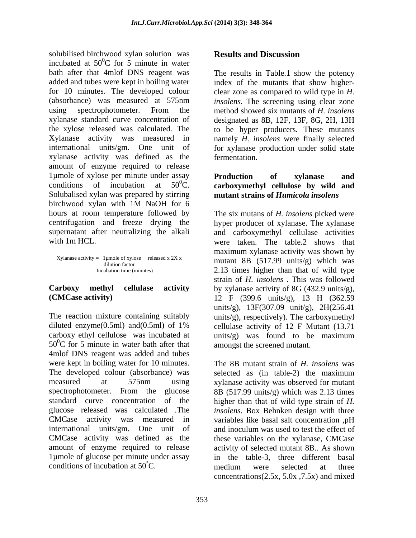solubilised birchwood xylan solution was **Results and Discussion** incubated at  $50^{\circ}$ C for 5 minute in water bath after that 4mlof DNS reagent was The results in Table.1 show the potency added and tubes were kept in boiling water index of the mutants that show higher for 10 minutes. The developed colour clear zone as compared to wild type in *H.*  (absorbance) was measured at 575nm *insolens*. The screening using clear zone using spectrophotometer. From the method showed six mutants of *H. insolens* xylanase standard curve concentration of designated as 8B, 12F, 13F, 8G, 2H, 13H the xylose released was calculated. The to be hyper producers. These mutants Xylanase activity was measured in namely *H. insolens* were finally selected international units/gm. One unit of for xylanase production under solid state xylanase activity was defined as the amount of enzyme required to release 1µmole of xylose per minute under assay **Production** of xylanase and conditions of incubation at  $50^0$ C. **Contract Conduct Conduct and Solubalised xylan was prepared by stirring mutant strains of** *Humicola insolens* birchwood xylan with 1M NaOH for 6 hours at room temperature followed by The six mutans of *H. insolens* picked were centrifugation and freeze drying the hyper producer of xylanase. The xylanase supernatant after neutralizing the alkali and carboxymethyl cellulase activities colubised bireading the material of the results and Discussion<br>
incubated at 50°C for 5 minute in water<br>
back reduced and the potency<br>
stability denote the second included and the second included and the<br>second water and t

 $X$ ylanase activity =  $\frac{1 \text{ \mu} \text{mole of xylose} \text{ released x } 2X \text{ x}}{\text{dilution factor}}$ 

The reaction mixture containing suitably units/g), respectively). The carboxymethyl diluted enzyme(0.5ml) and(0.5ml) of 1% cellulase activity of 12 F Mutant (13.71 carboxy ethyl cellulose was incubated at units/g) was found to be maximum  $50^{\circ}$ C for 5 minute in water bath after that 4mlof DNS reagent was added and tubes were kept in boiling water for 10 minutes. The 8B mutant strain of *H. insolens* was The developed colour (absorbance) was selected as (in table-2) the maximum measured at 575nm using xylanase activity was observed for mutant spectrophotometer. From the glucose 8B (517.99 units/g) which was 2.13 times standard curve concentration of the higher than that of wild type strain of *H.*  glucose released was calculated .The *insolens.* Box Behnken design with three CMCase activity was measured in variables like basal salt concentration ,pH international units/gm. One unit of and inoculum was used to test the effect of CMCase activity was defined as the these variables on the xylanase, CMCase amount of enzyme required to release activity of selected mutant 8B.*.* As shown 1µmole of glucose per minute under assay

fermentation.

## **Production of xylanase and carboxymethyl cellulose by wild and mutant strains of** *Humicola insolens*

with 1m HCL. were taken. The table.2 shows that  $\frac{d$ umole of xylose released x 2X x mutant 8B (517.99 units/g) which was Incubation time (minutes) 2.13 times higher than that of wild type **Carboxy methyl cellulase activity** by xylanase activity of 8G (432.9 units/g), **(CMCase activity)** 12 F (399.6 units/g), 13 H (362.59 maximum xylanase activity was shown by strain of *H. insolens* . This was followed units/g), 13F(307.09 unit/g), 2H(256.41 units/g) was found to be maximum amongst the screened mutant.

> and inoculum was used to test the effect of in the table-3, three different basal medium were selected at three concentrations( $2.5x$ ,  $5.0x$ ,  $7.5x$ ) and mixed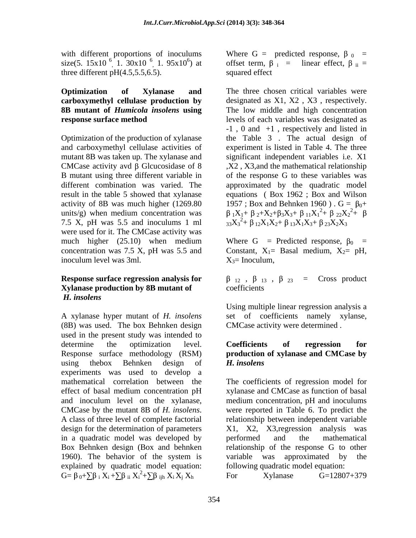with different proportions of inoculums size(5. 15x10<sup>-6</sup> 1. 30x10<sup>-6</sup> 1. 95x10<sup>-6</sup>) at three different pH(4.5,5.5,6.5). squared effect

7.5 X, pH was 5.5 and inoculums 1 ml were used for it. The CMCase activity was much higher (25.10) when medium Where G = Predicted response,  $\beta_0$  = concentration was 7.5 X, pH was 5.5 and Constant,  $X_1 =$  Basal medium,  $X_2 =$  pH, inoculum level was 3ml.  $X_3$  = Inoculum.

## **Xylanase production by 8B mutant of**  *H. insolens*

A xylanase hyper mutant of *H. insolens* set of coefficients namely xylanse, (8B) was used. The box Behnken design CMCase activity were determined. used in the present study was intended to determine the optimization level. Coefficients of regression for Response surface methodology (RSM) **production of xylanase and CMCase by** using thebox Behnken design of H. insolens experiments was used to develop a mathematical correlation between the The coefficients of regression model for effect of basal medium concentration pH xylanase and CMCase as function of basal and inoculum level on the xylanase, medium concentration, pH and inoculums CMCase by the mutant 8B of *H. insolens*. were reported in Table 6. To predict the A class of three level of complete factorial relationship between independent variable design for the determination of parameters X1, X2, X3,regression analysis was in a quadratic model was developed by performed and the mathematical Box Behnken design (Box and behnken 1960). The behavior of the system is variable was approximated by the explained by quadratic model equation:  $G = \beta_0 + \sum \beta_i X_i + \sum \beta_{ii} X_i^2 + \sum \beta_{ijh} X_i X_j X_h$  For Xylanase  $G = 12807 + 379$  $X_i + \sum \beta_{ii} X_i^2 + \sum \beta_{ijh} X_i X_j X_h$  For Xylanase G=12807+379  $2+\sum \beta_{ijk} X_i X_j X_h$  For Xylanase  $G=12807+379$ 

1.  $30x10^{-6}$ , 1.  $95x10^{6}$ ) at offset term,  $\beta_i$  = linear effect,  $\beta_{ii}$  = Where G = predicted response,  $\beta_0$  = squared effect **state** squared effect

**Optimization** of **Xylanase** and The three chosen critical variables were **carboxymethyl cellulase production by** designated as X1, X2 , X3 , respectively. **8B mutant of** *Humicola insolens* **using** The low middle and high concentration **response surface method** levels of each variables was designated as Optimization of the production of xylanase the Table 3 . The actual design of and carboxymethyl cellulase activities of experiment is listed in Table 4. The three mutant 8B was taken up*.* The xylanase and significant independent variables i.e. X1 CMCase activity avd  $\beta$  Glcucosidase of 8  $X2$ , X3, and the mathematical relationship B mutant using three different variable in of the response G to these variables was different combination was varied. The approximated by the quadratic model result in the table 5 showed that xylanase equations ( Box 1962 ; Box and Wilson activity of 8B was much higher (1269.80  $1957$ ; Box and Behnken 1960).  $G = \beta_0 +$ units/g) when medium concentration was  $\beta_1 X_1 + \beta_2 + X_2 + \beta_3 X_3 + \beta_{11} X_1^2 + \beta_{22} X_2^2 + \beta_{31} X_3^2$ -1 , 0 and +1 , respectively and listed in  $^{2}$ +  $\beta$  22 $X_{2}^{2}$ +  $\beta$ <sup>2</sup>+  $\beta$  $33X_3^2 + \beta_{12}X_1X_2 + \beta_{13}X_1X_3 + \beta_{23}X_2X_3$ 

Where G = Predicted response,  $\beta_0$  = Constant,  $X_1$ = Basal medium,  $X_2$ = pH,<br> $X_3$ = Inoculum,

**Response surface regression analysis for**  $\beta_{12}$ ,  $\beta_{13}$ ,  $\beta_{23}$  = Cross product coefficients **coefficients** 

> Using multiple linear regression analysis a set of coefficients namely xylanse, CMCase activity were determined .

## **Coefficients of regression for** *H. insolens*

 $X_h$  For Xylanase  $G=12807+379$ were reported in Table 6. To predict the relationship between independent variable performed and the mathematical relationship of the response G to other variable was approximated by following quadratic model equation: For Xylanase G=12807+379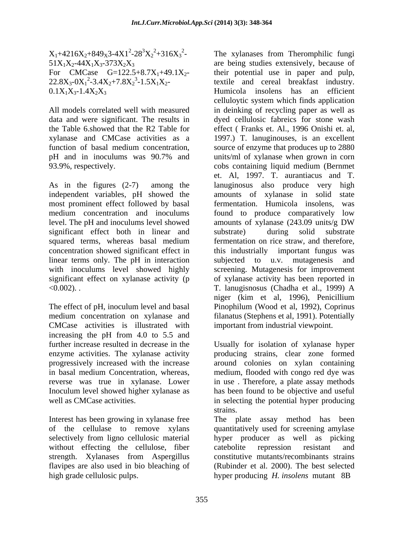$X_1+4216X_2+849_X3-4X1^2-28^3X_2^2+316X_3^2-51X_1X_2-44X_1X_3-373X_2X_3$ 

data and were significant. The results in 93.9%, respectively. Cobs containing liquid medium (Bernmet

As in the figures (2-7) among the lanuginosus also produce very high independent variables, pH showed the amounts of xylanase in solid state most prominent effect followed by basal medium concentration and inoculums found to produce comparatively low level. The pH and inoculums level showed amounts of xylanase (243.09 units/g DW significant effect both in linear and substrate) during solid substrate squared terms, whereas basal medium fermentation on rice straw, and therefore, concentration showed significant effect in this industrially important fungus was linear terms only. The pH in interaction subjected to u.v. mutagenesis and with inoculums level showed highly screening. Mutagenesis for improvement significant effect on xylanase activity (p of xylanase activity has been reported in <0.002). . T. lanugisnosus (Chadha et al., 1999) A

The effect of pH, inoculum level and basal CMCase activities is illustrated with increasing the pH from 4.0 to 5.5 and further increase resulted in decrease in the Usually for isolation of xylanase hyper enzyme activities. The xylanase activity progressively increased with the increase around colonies on xylan containing in basal medium Concentration, whereas, medium, flooded with congo red dye was reverse was true in xylanase. Lower in use . Therefore, a plate assay methods Inoculum level showed higher xylanase as has been found to be objective and useful well as CMCase activities.  $\qquad \qquad$  in selecting the potential hyper producing

Interest has been growing in xylanase free The plate assay method has been of the cellulase to remove xylans quantitatively used for screening amylase selectively from ligno cellulosic material hyper producer as well as picking without effecting the cellulose, fiber catebolite repression resistant and strength. Xylanases from Aspergillus flavipes are also used in bio bleaching of (Rubinder et al. 2000). The best selected high grade cellulosic pulps. hyper producing *H. insolens* mutant 8B

 $-28^{3}X_{2}^{2}+316X_{3}^{2}$  The xylanases from Theromphilic fungi  $51X_1X_2 - 44X_1X_3 - 373X_2X_3$  are being studies extensively, because of For CMCase  $G=122.5+8.7X_1+49.1X_2$  their potential use in paper and pulp,  $22.8X_3$ - $0X_1^2$ -3.4 $X_2$ +7.8 $X_2^3$ -1.5 $X_1X_2$ - textile and cereal breakfast industry.  $0.1X_1X_3-1.4X_2X_3$  Humicola insolens has an efficient All models correlated well with measured in deinking of recycling paper as well as the Table 6.showed that the R2 Table for effect ( Franks et. Al., 1996 Onishi et. al, xylanase and CMCase activities as a 1997.) T. lanuginouses, is an excellent function of basal medium concentration, source of enzyme that produces up to 2880 pH and in inoculums was 90.7% and units/ml of xylanase when grown in corn medium concentration on xylanase and filanatus (Stephens et al, 1991). Potentially celluloytic system which finds application dyed cellulosic fabreics for stone wash cobs containing liquid medium (Bernmet et. Al, 1997. T. aurantiacus and T. fermentation. Humicola insolens, was amounts of xylanase (243.09 units/g DW substrate) during solid substrate niger (kim et al, 1996), Penicillium Pinophilum (Wood et al, 1992), Coprinus important from industrial viewpoint.

> producing strains, clear zone formed strains.

catebolite repression resistant and constitutive mutants/recombinants strains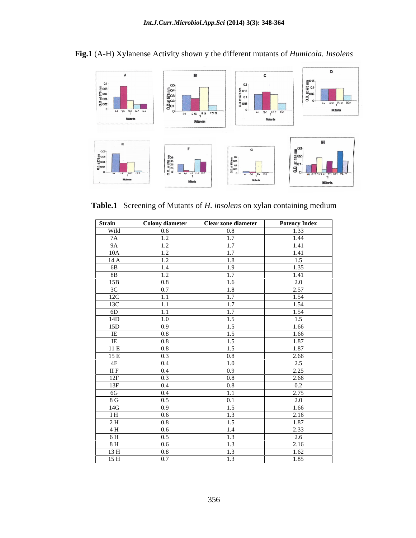

**Fig.1** (A-H) Xylanense Activity shown y the different mutants of *Humicola. Insolens*

| Strain         | <b>Colony diameter</b> | <b>Clear zone diameter</b> | <b>Potency Index</b> |
|----------------|------------------------|----------------------------|----------------------|
| Wild           | $0.6\,$                | $0.8\,$                    | 1.33                 |
| 7A             | 1.2                    | 1.7                        | 1.44                 |
| 9A             | 1.2                    | 1.7                        | 1.41                 |
| 10A            | 1.2                    | 1.7                        | 1.41                 |
| 14A            | 1.2                    | 1.8                        | 1.5                  |
| 6B             | 1.4                    | 1.9                        | 1.35                 |
| 8B             | 1.2                    | 1.7                        | 1.41                 |
| 15B            | $0.8\,$                | 1.6                        | 2.0                  |
| 3C             | 0.7                    | 1.8                        | 2.57                 |
| 12C            | 1.1                    | 1.7                        | 1.54                 |
| 13C            | 1.1                    | 1.7                        | 1.54                 |
| 6D             | 1.1                    | 1.7                        | 1.54                 |
| 14D            | 1.0                    | 1.5                        | 1.5                  |
| 15D            | 0.9                    | 1.5                        | 1.66                 |
| IE             | $0.8\,$                | 1.5                        | 1.66                 |
| IE             | 0.8                    | 1.5                        | 1.87                 |
| 11 E           | 0.8                    | 1.5                        | 1.87                 |
| 15E            | 0.3                    | 0.8                        | 2.66                 |
| 4F             | 0.4                    | 1.0                        | 2.5                  |
| IIF            | 0.4                    | 0.9                        | 2.25                 |
| 12F            | 0.3                    | 0.8                        | 2.66                 |
| 13F            | 0.4                    | 0.8                        | 0.2                  |
| 6G             | $0.4\,$                | 1.1                        | 2.75                 |
| 8 G            | 0.5                    | 0.1                        | 2.0                  |
| 14G            | 0.9                    | 1.5                        | 1.66                 |
| I <sub>H</sub> | $0.6\,$                | 1.3                        | 2.16                 |
| 2H             | 0.8                    | 1.5                        | 1.87                 |
| 4 H            | $0.6\,$                | 1.4                        | 2.33                 |
| 6 H            | 0.5                    | 1.3                        | 2.6                  |
| 8H             | 0.6                    | 1.3                        | 2.16                 |
| 13H            | $0.8\,$                | 1.3                        | 1.62                 |
| 15H            | 0.7                    | 1.3                        | 1.85                 |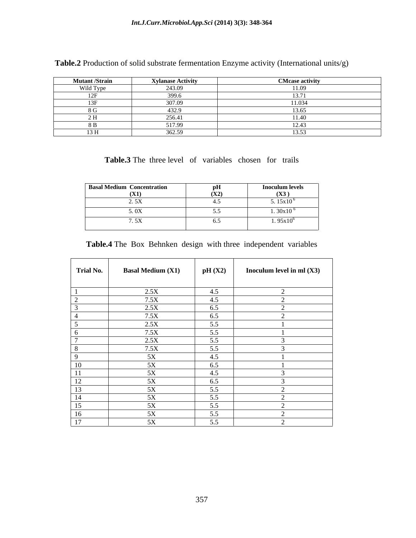| <b>Mutant /Strain</b> | <b>Xylanase Activity</b> | <b>CMcase activity</b> |
|-----------------------|--------------------------|------------------------|
| Wild Type             | 243.09                   |                        |
|                       | $\Omega$                 |                        |
|                       | 207.00                   | 11.034                 |
|                       |                          |                        |
|                       | 256.47                   |                        |
|                       | 5170                     |                        |
| 12T                   | 20000                    |                        |

**Table.2** Production of solid substrate fermentation Enzyme activity (International units/g)

**Table.3** The three level of variables chosen for trails

| <b>Basal Medium Concentration</b> |                                    | <b>Inoculum levels</b> |
|-----------------------------------|------------------------------------|------------------------|
| (X1)                              | (X2)                               | (X3)                   |
| $\sqrt{2}$<br>_____               |                                    | 5.15 $x10^6$           |
| $F \cap T$<br>________            | $\sim$ $\sim$ $\sim$ $\sim$ $\sim$ | 1. $30x10^6$           |
| 7. EV<br>$\cdots$                 |                                    | $1.95x10^{6}$          |

| Table.4 The<br>Box | x Behnken design with three independent variables |  |  |  |  |
|--------------------|---------------------------------------------------|--|--|--|--|
|                    |                                                   |  |  |  |  |

| <b>Trial No.</b> | <b>Basal Medium (X1)</b> | pH(X2) | Inoculum level in ml $(X3)$ |
|------------------|--------------------------|--------|-----------------------------|
|                  |                          |        |                             |
|                  | 2.5X                     | 4.5    |                             |
|                  | 7.5X                     | 4.5    |                             |
|                  | 2.5X                     | 6.5    |                             |
|                  | 7.5X                     | 6.5    |                             |
|                  | 2.5X                     | 5.5    |                             |
|                  | 7.5X                     | 5.5    |                             |
|                  | 2.5X                     | 5.5    |                             |
|                  | 7.5X                     | 5.5    |                             |
|                  | 5X                       | 4.5    |                             |
| 10               | 5X                       | 6.5    |                             |
| 11               | 5X                       | 4.5    |                             |
|                  | 5X                       | 6.5    |                             |
| $\frac{12}{13}$  | 5X                       | 5.5    |                             |
| 14               | 5X                       | 5.5    |                             |
| 15               | 5X                       | 5.5    |                             |
| 16               | 5X                       | 5.5    |                             |
| 17               | 5X                       | 5.5    |                             |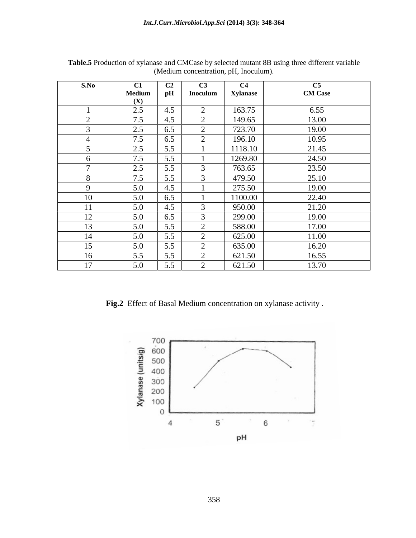| S.No     | $\mathbf{C1}$ | C <sub>2</sub> | C3       | C4              | C5                                                               |
|----------|---------------|----------------|----------|-----------------|------------------------------------------------------------------|
|          | Medium<br>(X) | $\mathbf{p}$ H | Inoculum | <b>Xylanase</b> | <b>CM Case</b>                                                   |
|          | 2.5           | 4.5            |          | 163.75          | 6.55                                                             |
|          | 7.5           | 4.5            |          | 149.65          | 13.00                                                            |
|          | 2.5           | 6.5            |          | 723.70          | 19.00                                                            |
|          | 7.5           | 6.5            |          | 196.10          | 10.95                                                            |
|          | 2.5           | 5.5            |          | 1118.10         | 21.45                                                            |
|          | 7.5           | 5.5            |          | 1269.80         | 24.50                                                            |
|          | 2.5           | 5.5            |          | 763.65          | 23.50                                                            |
|          | 7.5           | 5.5            |          | 479.50          | 25.10                                                            |
| $\Omega$ |               |                |          |                 |                                                                  |
|          | 5.0           | 4.5            |          | 275.50          | 19.00                                                            |
| 10       | 5.0           | 6.5            |          | 1100.00         | 22.40                                                            |
| 11       | 5.0           | 4.5            |          | 950.00          | 21.20                                                            |
| 12<br>12 | 5.0           | 6.5            | $\sim$   | 299.00          | 19.00                                                            |
| 13       | 5.0           | 5.5            |          | 588.00          | 17.00                                                            |
| 14       | 5.0           | 5.5            |          | 625.00          | 11.00                                                            |
| 15       | 5.0           | 5.5            | $\sim$   | 635.00          | 16.20                                                            |
| 16       | 5.5           | 5.5            |          | 621.50          | 16.55                                                            |
| 17       | 5.0           | 5.5            |          | 621.50          | 13.70                                                            |
|          |               |                |          |                 |                                                                  |
|          |               |                |          |                 |                                                                  |
|          |               |                |          |                 |                                                                  |
|          |               |                |          |                 | Fig.2 Effect of Basal Medium concentration on xylanase activity. |

**Table.5** Production of xylanase and CMCase by selected mutant 8B using three different variable (Medium concentration, pH, Inoculum).

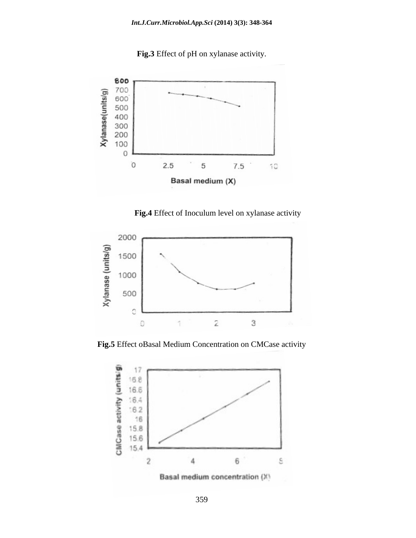**Fig.3** Effect of pH on xylanase activity.



 **Fig.4** Effect of Inoculum level on xylanase activity



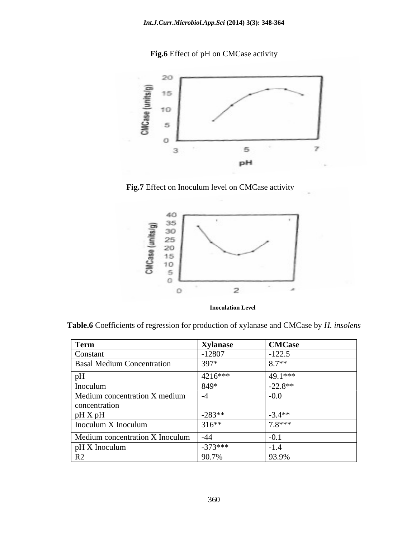**Fig.6** Effect of pH on CMCase activity



 **Fig.7** Effect on Inoculum level on CMCase activity



 **Inoculation Level**

| Term                              | <b>Xylanase</b> | <b>CMCase</b> |
|-----------------------------------|-----------------|---------------|
| Constant                          | $-12807$        | $-122.5$      |
| <b>Basal Medium Concentration</b> | 397*            | $9.7**$       |
|                                   | $ 4216*** $     | 49.1***       |
| Inoculum                          | 849*            | $-22.8**$     |
| Medium concentration X medium     |                 | $-0.0$        |
| concentration                     |                 |               |
| pH X pH                           | $-283**$        | $-3.4**$      |
| Inoculum X Inoculum               | $316**$         | $7.8***$      |
| Medium concentration X Inoculum   |                 |               |
| $\vert$ pH X Inoculum             | $-373***$       |               |
|                                   | 90.7%           | 93.9%         |

**Table.6** Coefficients of regression for production of xylanase and CMCase by *H. insolens*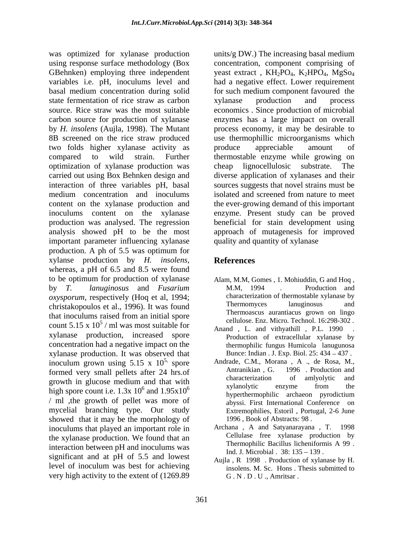using response surface methodology (Box concentration, component comprising of GBehnken) employing three independent yeast extract,  $KH_2PO_4$ ,  $K_2HPO_4$ ,  $MgSo_4$ variables i.e. pH, inoculums level and had a negative effect. Lower requirement basal medium concentration during solid for such medium component favoured the state fermentation of rice straw as carbon xylanase production and process source. Rice straw was the most suitable economics . Since production of microbial carbon source for production of xylanase enzymes has a large impact on overall by *H. insolens* (Aujla, 1998). The Mutant process economy, it may be desirable to 8B screened on the rice straw produced use thermophillic microorganisms which two folds higher xylanase activity as compared to wild strain. Further thermostable enzyme while growing on optimization of xylanase production was carried out using Box Behnken design and diverse application of xylanases and their interaction of three variables pH, basal sources suggests that novel strains must be medium concentration and inoculums isolated and screened from nature to meet content on the xylanase production and the ever-growing demand of this important inoculums content on the xylanase enzyme. Present study can be proved production was analysed. The regression beneficial for stain development using analysis showed pH to be the most approach of mutagenesis for improved important parameter influencing xylanase production. A ph of 5.5 was optimum for xylanse production by *H. insolens*, whereas, <sup>a</sup> pH of 6.5 and 8.5 were found to be optimum for production of xylanase by *T. lanuginosus* and *Fusarium oxysporum*, respectively (Hoq et al, 1994;<br>
characterization of thermostable xylanase by<br>
christakonoulos et al. 1996) It was found Thermomyces lanuginosus and christakopoulos et al., 1996). It was found that inoculums raised from an initial spore count 5.15 x  $10^5$  / ml was most suitable for xylanase production, increased spore concentration had a negative impact on the xylanase production. It was observed that inoculum grown using  $5.15 \times 10^{5}$ , spore<br>formed very small pellets after 24 brs of Antranikian, G. 1996. Production and formed very small pellets after 24 hrs.of Antranikian, G. 1996 Production and characterization of amlyolytic and growth in glucose medium and that with<br> $\frac{1}{2}$  indicate integration of any any and the growth in gracose including and that with<br>high spore count i.e.  $1.3x \times 10^6$  and  $1.95x \times 10^6$  are hyperthermophilic archaeon pyrodictium / ml ,the growth of pellet was more of mycelial branching type. Our study showed that it may be the morphology of inoculums that played an important role in the xylanase production. We found that an and Cellulase free xylanase production by<br>Thermophilic Bacillus licheniformis A 99. interaction between pH and inoculums was significant and at pH of 5.5 and lowest level of inoculum was best for achieving very high activity to the extent of (1269.89

was optimized for xylanase production units/g DW.) The increasing basal medium xylanase production and process produce appreciable amount of cheap lignocellulosic substrate. quality and quantity of xylanase

## **References**

- Alam, M.M, Gomes , 1. Mohiuddin, G and Hoq , M.M, 1994 . Production and characterization of thermostable xylanase by Thermomyces lanuginosus and Thermoascus aurantiacus grown on lingo cellulose. Enz. Micro. Technol. 16:298-302 .
- / ml was most suitable for Anand , L. and vithyathill , P.L. 1990 . Production of extracellular xylanase by thermophilic fungus Humicola lanugunosa Bunce: Indian . J. Exp. Biol. 25: 434 – 437.
	- 5, spore Andrade, C.M., Morana , A ., de Rosa, M., and  $1.95 \times 10^6$   $\qquad \qquad \text{xyianoiyac}$  enzyme from the Antranikian , G. 1996 . Production and characterization of amlyolytic and xylanolytic enzyme from the hyperthermophilic archaeon pyrodictium abyssi. First International Conference on Extremophilies, Estoril , Portugal, 2-6 June 1996 , Book of Abstracts: 98 .
		- Archana , A and Satyanarayana , T. 1998 Cellulase free xylanase production by Thermophilic Bacillus licheniformis A 99 . Ind. J. Microbial . 38: 135 - 139.
		- Aujla , R 1998 . Production of xylanase by H. insolens. M. Sc. Hons . Thesis submitted to G . N . D . U ., Amritsar .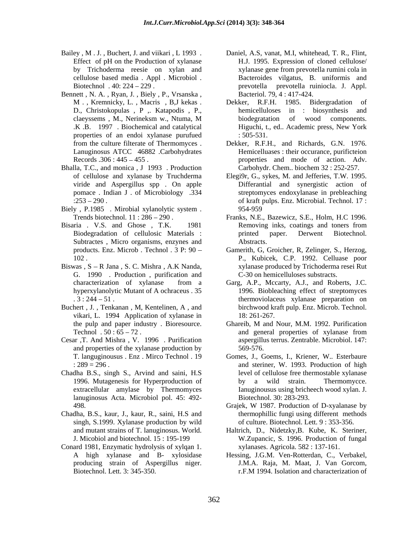- Effect of pH on the Production of xylanase
- Bennett , N. A. , Ryan, J. , Biely , P., Vrsanska , D., Christokopulas , P ,. Katapodis , P., properties of an endoi xylanase purufued Lanuginosus ATCC 46882 .Carbohydrates
- Bhalla, T.C., and monica , J 1993 . Production
- Biely, P.1985 . Mirobial xylanolytic system . 954-959
- Subtractes , Micro organisms, enzynes and
- Biswas ,  $S R$  Jana , S. C. Mishra , A.K Nanda, G. 1990 . Production , purification and
- Buchert , J. , Tenkanan , M, Kentelinen, A , and vikari, L. 1994 Application of xylanase in 18:261-267. the pulp and paper industry . Bioresource. Chareib, M and Nour, M.M. 1992. Purification
- Cesar ,T. And Mishra , V. 1996 . Purification and properties of the xylanase production by  $569-576$ .
- Chadha B.S., singh S., Arvind and saini, H.S lanuginosus Acta. Microbiol pol. 45: 492-
- Chadha, B.S., kaur, J., kaur, R., saini, H.S and singh, S.1999. Xylanase production by wild
- Conard 1981, Enzymatic hydrolysis of xylqan 1. Biotechnol. Lett. 3: 345-350. r.F.M 1994. Isolation and characterization of
- Bailey , M . J. , Buchert, J. and viikari , L 1993 . Daniel, A.S, vanat, M.I, whitehead, T. R., Flint, by Trichoderma reesie on xylan and xylanase gene from prevotella rumini cola in cellulose based media . Appl . Microbiol . Bacteroides vilgatus, B. uniformis and Biotechnol . 40: 224 229 . prevotella prevotella ruiniocla. J. Appl. H.J. 1995. Expression of cloned cellulose/ Bacteriol. 79, 4 : 417-424.
	- M., Kremnicky, L., Macris, B,J kekas. Dekker, R.F.H. 1985. Bidergradation of claeyssems , M., Nerineksm w., Ntuma, M .K .B. 1997 . Biochemical and catalytical Higuchi, t., ed.. Academic press, New York Dekker, R.F.H. 1985. Bidergradation of hemicelluloses in : biosynthesis and biodegratation of wood components. : 505-531.
	- from the culture filterate of Thermomyces. Dekker, R.F.H., and Richards, G.N. 1976. Records .306 : 445 – 455 . The result of action and mode of action. Adv. Hemicelluases : their occurance, purificteion Carbohydr. Chem.. biochem 32 : 252-257.
	- of cellulose and xylanase by Truchderma Elegi9r, G., sykes, M. and Jefferies, T.W. 1995. viride and Aspergillus spp . On apple Differantial and synergistic action of pomace . Indian J . of Microbiology .334 streptomyces endoxylanase in prebleaching :253 290 . of kraft pulps. Enz. Microbial. Technol. 17 : 954-959
- Trends biotechnol. 11 : 286 290 . Franks, N.E., Bazewicz, S.E., Holm, H.C 1996. Bisaria . V.S. and Ghose , T.K. 1981 Removing inks, coatings and toners from Biodegradation of cellulosic Materials : Removing inks, coatings and toners from printed paper. Derwent Biotechnol. Abstracts.
	- products. Enz. Microb . Technol . 3 P: 90 Gamerith, G, Groicher, R, Zelinger, S., Herzog, 102 . P., Kubicek, C.P. 1992. Celluase poor xylanase produced by Trichoderma resei Rut C-30 on hemicelluloses substracts.
	- characterization of xylanase from a Garg, A.P., Mccarty, A.J., and Roberts, J.C. hyperxylanolytic Mutant of A ochraceus . 35 1996. Biobleaching effect of streptomyces . 3 : 244 51 . thermoviolaceus xylanase preparation on birchwood kraft pulp. Enz. Microb. Technol. 18: 261-267.
	- Technol . 50 : 65 72. Ghareib, M and Nour, M.M. 1992. Purification and general properties of xylanase from aspergillus terrus. Zentrable. Microbiol. 147: 569-576.
	- T. languginousus . Enz . Mirco Technol . 19 Gomes, J., Goems, I., Kriener, W.. Esterbaure : 289 = 296 . and steriner, W. 1993. Production of high 1996. Mutagenesis for Hyperproduction of by a wild strain. Thermomycce. extracellular amylase by Thermomyces Ianuginousus using bricheech wood xylan. J. level of cellulose free thermostable xylanase by a wild strain. Thermomycce. Biotechnol. 30: 283-293.
	- 498. **Grajek, W** 1987. Production of D-xyalanase by Grajek, W 1987. Production of D-xyalanase by thermophillic fungi using different methods of culture. Biotechnol. Lett. 9 : 353-356.
	- and mutant strains of T. lanuginosus. World. Haltrich, D., Nidetzky,B. Kube, K. Steriner, J. Micobiol and biotechnol. 15 : 195-199 W.Zupancic, S. 1996. Production of fungal xylanases. Agricola. 582 : 137-161.
	- A high xylanase and B- xylosidase Hessing, J.G.M. Ven-Rotterdan, C., Verbakel, producing strain of Aspergillus niger. J.M.A. Raja, M. Maat, J. Van Gorcom,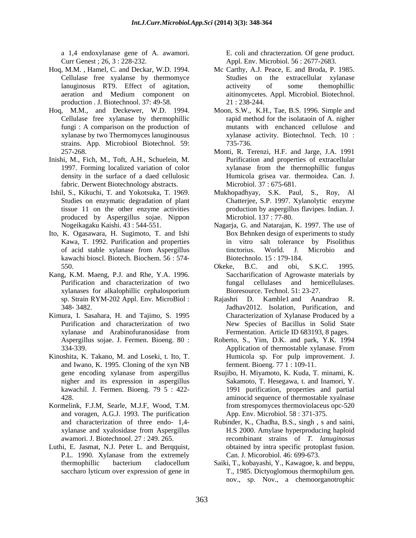a 1,4 endoxylanase gene of A. awamori. E. coli and chracterzation. Of gene product. Curr Genest ; 26, 3 : 228-232. Appl. Env. Microbiol. 56 : 2677-2683.

- Cellulase free xyalanse by thermomyce production . J. Biotechnool. 37: 49-58. 21: 238-244.
- Hoq, M.M., and Deckewer, W.D. 1994. Cellulase free xylanase by thermophillic strains. App. Microbiool Biotechnol. 59:
- Inishi, M., Fich, M., Toft, A.H., Schuelein, M. density in the surface of a daed cellulosic fabric. Derwent Biotechnology abstracts.
- produced by Aspergillus sojae. Nippon
- Ito, K. Ogasawara, H. Sugimoto, T. and Ishi kawachi bioscl. Biotech. Biochem. 56 : 574-
- Kang, K.M. Maeng, P.J. and Rhe, Y.A. 1996. xylanases for alkalophillic cephalosporium
- 
- Kinoshita, K. Takano, M. and Loseki, t. Ito, T. and Iwano, K. 1995. Cloning of the xyn NB
- Kormelink, F.J.M, Searle, M.J.F, Wood, T.M. and voragen, A.G.J. 1993. The purification
- Luthi, E. Jasmat, N.J. Peter L. and Berqquist,

- Hoq, M.M. , Hamel, C. and Deckar, W.D. 1994. Mc Carthy, A.J. Peace, E. and Broda, P. 1985. lanuginosus RT9. Effect of agitation, active ity of some themophillic aeration and Medium component on aitinomycetes. Appl. Microbiol. Biotechnol. Studies on the extracellular xylanase activeity of some themophillic aitinomycetes. Appl. Microbiol. Biotechnol. 21 : 238-244.
	- fungi : A comparison on the production of mutants with enchanced cellulose and xylanase by two Thermomyces lanuginousus xylanase activity. Biotechnol. Tech. 10 : Moon, S.W., K.H., Tae, B.S. 1996. Simple and rapid method for the isolataoin of A. nigher 735-736.
	- 257-268. Monti, R. Terenzi, H.F. and Jarge, J.A. 1991 1997. Forming localized variation of color xylanase from the thermophillic fungus Purification and properties of extracellular Humicola grisea var. thermoidea. Can. J. Microbiol. 37 : 675-681.
- Ishil, S., Kikuchi, T. and Yokotsuka, T. 1969. Mukhopadhyay, S.K. Paul, S., Roy, Al Studies on enzymatic degradation of plant Chatterjee, S.P. 1997. Xylanolytic enzyme tissue 11 on the other enzyme activities production by aspergillus flavipes. Indian. J. Microbiol. 137 : 77-80.
	- Nogeikagaku Kaishi. 43 : 544-551. Nagarja, G. and Natarajan, K. 1997. The use of Kawa, T. 1992. Purification and properties in vitro salt tolerance by Pisolithus of acid stable xylanase from Aspergillus Box Behnken design of experiments to study tinctorius. World. J. Microbio and Biotechnolo. 15 : 179-184.
	- 550. **SICRY SIGNET ASSESS** Okeke, B.C. and obi, S.K.C. 1995. Purification and characterization of two fungal cellulases and hemicellulases. Okeke, B.C. and obi, S.K.C. 1995. Saccharification of Agrowaste materials by fungal cellulases and hemicellulases. Bioresource. Technol. 51: 23-27.
- sp. Strain RYM-202 Appl. Env. MicroBiol : Rajashri D. Kamble1 and Anandrao R. 348- 3482. Jadhav2012. Isolation, Purification, and Kimura, I. Sasahara, H. and Tajimo, S. 1995 Characterization of Xylanase Produced by a Purification and characterization of two New Species of Bacillus in Solid State xylanase and Arabinofuranosidase from Rajashri D. Kamble1 and Anandrao Fermentation. Article ID 683193, 8 pages.
	- Aspergillus sojae. J. Fermen. Bioeng. 80 : Roberto, S., Yim, D.K.and park, Y.K. 1994 334-339. Application of thermostable xylanase. From Application of thermostable xylanase. From Humicola sp. For pulp improvement. J. ferment. Bioeng. 77 1 : 109-11.
	- gene encoding xylanase from aspergillus Rsujibo, H. Miyamoto, K. Kuda, T. minami, K. nigher and its expression in aspergillus Sakamoto, T. Hesegawa, t. and Inamori, Y. kawachil. J. Fermen. Bioeng. 79 5 : 422- 1991 purification, properties and partial 428. aminocid sequence of thermostable xyalnase from strespomyces thermoviolaceus opc-520 App. Env. Microbiol. 58 : 371-375.
	- and characterization of three endo- 1,4- Rubinder, K., Chadha, B.S., singh , s and saini, xylanase and xyalosidase from Aspergillus awamori. J. Biotechnool. 27 : 249. 265. recombinant strains of *T. lanuginosus* P.L. 1990. Xylanase from the extremely Can. J. Micorobiol. 46: 699-673. H.S 2000. Amylase hyperproducing haploid obtained by intra specific protoplast fusion. Can. J. Micorobiol. 46: 699-673.
	- thermophillic bacterium cladocellum Saiki, T., kobayashi, Y., Kawagoe, k. and beppu, saccharo lyticum over expression of gene in T., 1985. Dictyoglomous thermophilum gen. T., 1985. Dictyoglomous thermophilum gen. nov., sp. Nov., a chemoorganotrophic